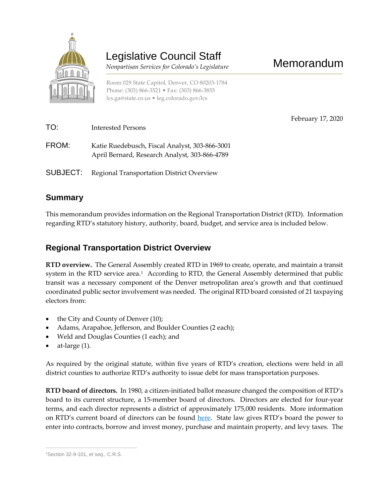

# Legislative Council Staff

 *Nonpartisan Services for Colorado's Legislature*

Room 029 State Capitol, Denver, CO 80203-1784 Phone: (303) 866-3521 • Fax: (303) 866-3855 [lcs.ga@state.co.us](mailto:lcs.ga@state.co.us) • [leg.colorado.gov/lcs](http://leg.colorado.gov/lcs)

April Bernard, Research Analyst, 303-866-4789

| TO:   | Interested Persons                             | February 17, 2020 |
|-------|------------------------------------------------|-------------------|
| FROM: | Katie Ruedebusch, Fiscal Analyst, 303-866-3001 |                   |

SUBJECT: Regional Transportation District Overview

#### **Summary**

This memorandum provides information on the Regional Transportation District (RTD). Information regarding RTD's statutory history, authority, board, budget, and service area is included below.

## **Regional Transportation District Overview**

**RTD overview.** The General Assembly created RTD in 1969 to create, operate, and maintain a transit system in the RTD service area.<sup>[1](#page-0-0)</sup> According to RTD, the General Assembly determined that public transit was a necessary component of the Denver metropolitan area's growth and that continued coordinated public sector involvement was needed. The original RTD board consisted of 21 taxpaying electors from:

- the City and County of Denver (10);
- Adams, Arapahoe, Jefferson, and Boulder Counties (2 each);
- Weld and Douglas Counties (1 each); and
- at-large (1).

As required by the original statute, within five years of RTD's creation, elections were held in all district counties to authorize RTD's authority to issue debt for mass transportation purposes.

**RTD board of directors.** In 1980, a citizen-initiated ballot measure changed the composition of RTD's board to its current structure, a 15-member board of directors. Directors are elected for four-year terms, and each director represents a district of approximately 175,000 residents. More information on RTD's current board of directors can be found [here](http://www.rtd-denver.com/BoardDirectors.shtml). State law gives RTD's board the power to enter into contracts, borrow and invest money, purchase and maintain property, and levy taxes. The

 $\overline{a}$ 

<span id="page-0-0"></span><sup>1</sup> Section 32-9-101, *et seq.,* C.R.S.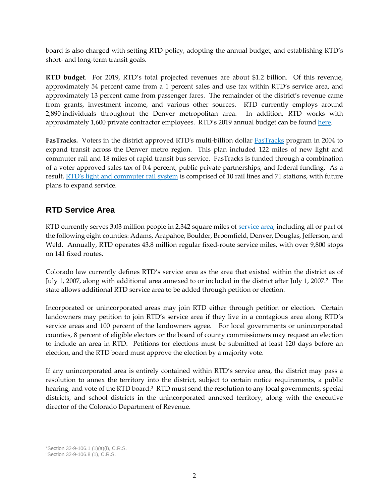board is also charged with setting RTD policy, adopting the annual budget, and establishing RTD's short- and long-term transit goals.

**RTD budget**. For 2019, RTD's total projected revenues are about \$1.2 billion. Of this revenue, approximately 54 percent came from a 1 percent sales and use tax within RTD's service area, and approximately 13 percent came from passenger fares. The remainder of the district's revenue came from grants, investment income, and various other sources. RTD currently employs around 2,890 individuals throughout the Denver metropolitan area. In addition, RTD works with approximately 1,600 private contractor employees. RTD's 2019 annual budget can be found [here.](https://www.rtd-denver.com/sites/default/files/files/2019-09/rtd-adopted-budget-2019.pdf)

**FasTracks.** Voters in the district approved RTD's multi-billion dollar **FasTracks** program in 2004 to expand transit across the Denver metro region. This plan included 122 miles of new light and commuter rail and 18 miles of rapid transit bus service. FasTracks is funded through a combination of a voter-approved sales tax of 0.4 percent, public-private partnerships, and federal funding. As a result, [RTD's light and commuter rail system](http://www.rtd-denver.com/lightrail.shtml) is comprised of 10 rail lines and 71 stations, with future plans to expand service.

# **RTD Service Area**

RTD currently serves 3.03 million people in 2,342 square miles of [service area,](https://www.rtd-denver.com/board-district-map) including all or part of the following eight counties: Adams, Arapahoe, Boulder, Broomfield, Denver, Douglas, Jefferson, and Weld. Annually, RTD operates 43.8 million regular fixed-route service miles, with over 9,800 stops on 141 fixed routes.

Colorado law currently defines RTD's service area as the area that existed within the district as of July 1, 2007, along with additional area annexed to or included in the district after July 1, 2007.<sup>2</sup> The state allows additional RTD service area to be added through petition or election.

Incorporated or unincorporated areas may join RTD either through petition or election. Certain landowners may petition to join RTD's service area if they live in a contagious area along RTD's service areas and 100 percent of the landowners agree. For local governments or unincorporated counties, 8 percent of eligible electors or the board of county commissioners may request an election to include an area in RTD. Petitions for elections must be submitted at least 120 days before an election, and the RTD board must approve the election by a majority vote.

If any unincorporated area is entirely contained within RTD's service area, the district may pass a resolution to annex the territory into the district, subject to certain notice requirements, a public hearing, and vote of the RTD board.<sup>[3](#page-1-1)</sup> RTD must send the resolution to any local governments, special districts, and school districts in the unincorporated annexed territory, along with the executive director of the Colorado Department of Revenue.

 $\overline{a}$ <sup>2</sup>Section 32-9-106.1 (1)(a)(I), C.R.S.<br><sup>3</sup>Section 32-9-106.8 (1), C.R.S.

<span id="page-1-1"></span><span id="page-1-0"></span><sup>&</sup>lt;sup>3</sup>Section 32-9-106.8 (1), C.R.S.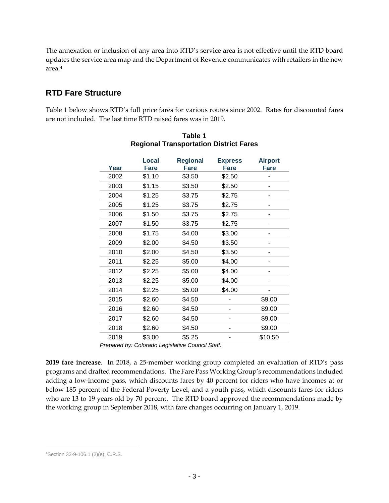The annexation or inclusion of any area into RTD's service area is not effective until the RTD board updates the service area map and the Department of Revenue communicates with retailers in the new area.[4](#page-2-0)

## **RTD Fare Structure**

Table 1 below shows RTD's full price fares for various routes since 2002. Rates for discounted fares are not included. The last time RTD raised fares was in 2019.

|      | <b>Local</b> | <b>Regional</b> | <b>Express</b> | <b>Airport</b> |
|------|--------------|-----------------|----------------|----------------|
| Year | Fare         | Fare            | <b>Fare</b>    | <b>Fare</b>    |
| 2002 | \$1.10       | \$3.50          | \$2.50         |                |
| 2003 | \$1.15       | \$3.50          | \$2.50         |                |
| 2004 | \$1.25       | \$3.75          | \$2.75         |                |
| 2005 | \$1.25       | \$3.75          | \$2.75         |                |
| 2006 | \$1.50       | \$3.75          | \$2.75         |                |
| 2007 | \$1.50       | \$3.75          | \$2.75         |                |
| 2008 | \$1.75       | \$4.00          | \$3.00         |                |
| 2009 | \$2.00       | \$4.50          | \$3.50         |                |
| 2010 | \$2.00       | \$4.50          | \$3.50         |                |
| 2011 | \$2.25       | \$5.00          | \$4.00         |                |
| 2012 | \$2.25       | \$5.00          | \$4.00         |                |
| 2013 | \$2.25       | \$5.00          | \$4.00         |                |
| 2014 | \$2.25       | \$5.00          | \$4.00         |                |
| 2015 | \$2.60       | \$4.50          |                | \$9.00         |
| 2016 | \$2.60       | \$4.50          |                | \$9.00         |
| 2017 | \$2.60       | \$4.50          |                | \$9.00         |
| 2018 | \$2.60       | \$4.50          |                | \$9.00         |
| 2019 | \$3.00       | \$5.25          |                | \$10.50        |

**Table 1 Regional Transportation District Fares**

*Prepared by: Colorado Legislative Council Staff.*

**2019 fare increase**. In 2018, a 25-member working group completed an evaluation of RTD's pass programs and drafted recommendations. The Fare Pass Working Group's recommendations included adding a low-income pass, which discounts fares by 40 percent for riders who have incomes at or below 185 percent of the Federal Poverty Level; and a youth pass, which discounts fares for riders who are 13 to 19 years old by 70 percent. The RTD board approved the recommendations made by the working group in September 2018, with fare changes occurring on January 1, 2019.

 $\overline{a}$ 

<span id="page-2-0"></span><sup>4</sup> Section 32-9-106.1 (2)(e), C.R.S.